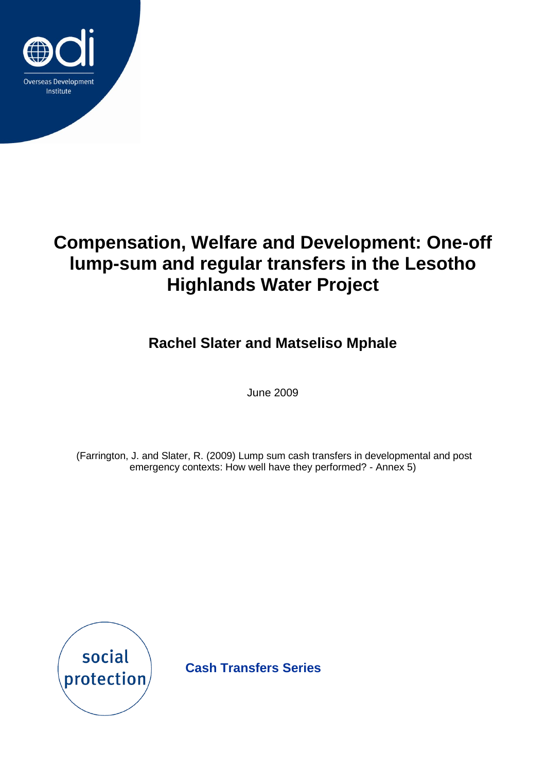

**Rachel Slater and Matseliso Mphale**

June 2009

(Farrington, J. and Slater, R. (2009) Lump sum cash transfers in developmental and post emergency contexts: How well have they performed? - Annex 5)



**Cash Transfers Series**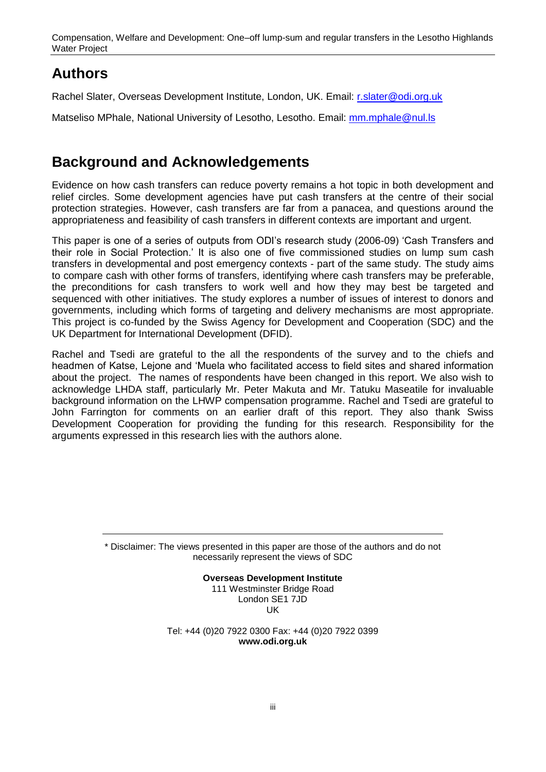## **Authors**

Rachel Slater, Overseas Development Institute, London, UK. Email: [r.slater@odi.org.uk](mailto:r.slater@odi.org.uk)

Matseliso MPhale, National University of Lesotho, Lesotho. Email: [mm.mphale@nul.ls](mailto:mm.mphale@nul.ls)

## **Background and Acknowledgements**

Evidence on how cash transfers can reduce poverty remains a hot topic in both development and relief circles. Some development agencies have put cash transfers at the centre of their social protection strategies. However, cash transfers are far from a panacea, and questions around the appropriateness and feasibility of cash transfers in different contexts are important and urgent.

This paper is one of a series of outputs from ODI's research study (2006-09) 'Cash Transfers and their role in Social Protection." It is also one of five commissioned studies on lump sum cash transfers in developmental and post emergency contexts - part of the same study. The study aims to compare cash with other forms of transfers, identifying where cash transfers may be preferable, the preconditions for cash transfers to work well and how they may best be targeted and sequenced with other initiatives. The study explores a number of issues of interest to donors and governments, including which forms of targeting and delivery mechanisms are most appropriate. This project is co-funded by the Swiss Agency for Development and Cooperation (SDC) and the UK Department for International Development (DFID).

Rachel and Tsedi are grateful to the all the respondents of the survey and to the chiefs and headmen of Katse, Lejone and "Muela who facilitated access to field sites and shared information about the project. The names of respondents have been changed in this report. We also wish to acknowledge LHDA staff, particularly Mr. Peter Makuta and Mr. Tatuku Maseatile for invaluable background information on the LHWP compensation programme. Rachel and Tsedi are grateful to John Farrington for comments on an earlier draft of this report. They also thank Swiss Development Cooperation for providing the funding for this research. Responsibility for the arguments expressed in this research lies with the authors alone.

> \* Disclaimer: The views presented in this paper are those of the authors and do not necessarily represent the views of SDC

> > **Overseas Development Institute** 111 Westminster Bridge Road London SE1 7JD UK

Tel: +44 (0)20 7922 0300 Fax: +44 (0)20 7922 0399 **www.odi.org.uk**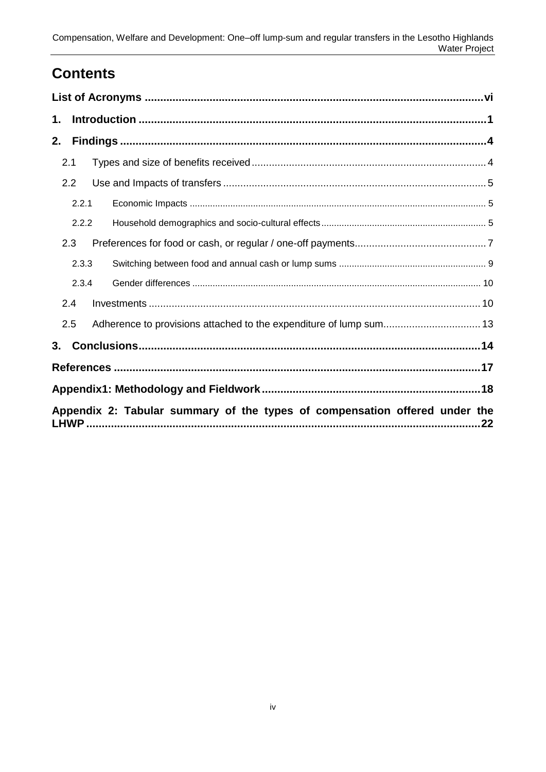## **Contents**

| 1. |                                                                            |  |  |  |
|----|----------------------------------------------------------------------------|--|--|--|
| 2. |                                                                            |  |  |  |
|    | 2.1                                                                        |  |  |  |
|    | 2.2                                                                        |  |  |  |
|    | 2.2.1                                                                      |  |  |  |
|    | 2.2.2                                                                      |  |  |  |
|    | 2.3                                                                        |  |  |  |
|    | 2.3.3                                                                      |  |  |  |
|    | 2.3.4                                                                      |  |  |  |
|    | 2.4                                                                        |  |  |  |
|    | 2.5                                                                        |  |  |  |
| 3. |                                                                            |  |  |  |
|    |                                                                            |  |  |  |
|    |                                                                            |  |  |  |
|    | Appendix 2: Tabular summary of the types of compensation offered under the |  |  |  |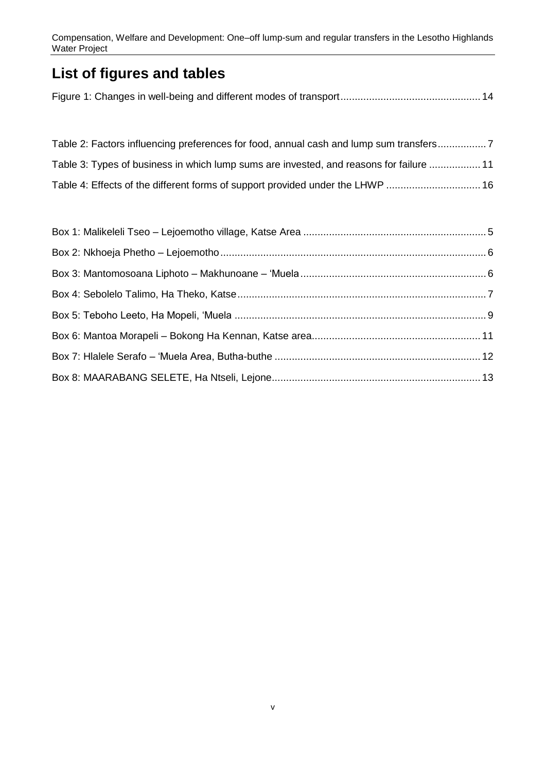## **List of figures and tables**

| Table 2: Factors influencing preferences for food, annual cash and lump sum transfers   |  |
|-----------------------------------------------------------------------------------------|--|
| Table 3: Types of business in which lump sums are invested, and reasons for failure  11 |  |
| Table 4: Effects of the different forms of support provided under the LHWP  16          |  |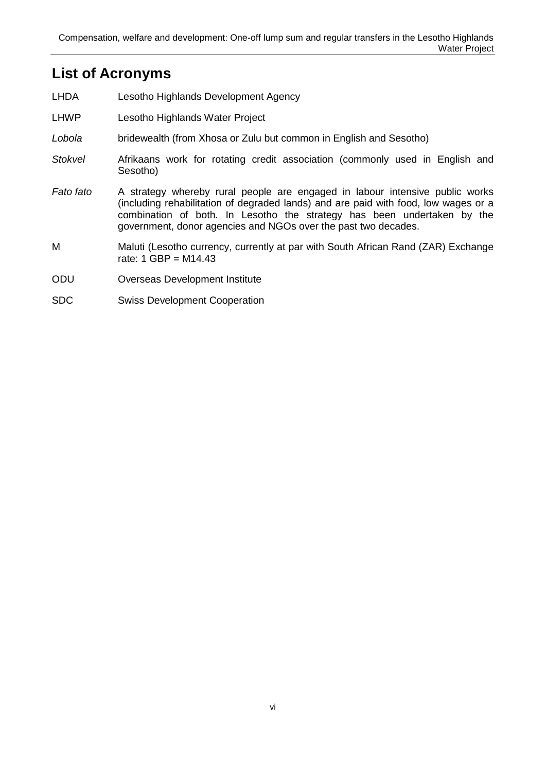### <span id="page-5-0"></span>**List of Acronyms**

- LHDA Lesotho Highlands Development Agency
- LHWP Lesotho Highlands Water Project
- *Lobola* bridewealth (from Xhosa or Zulu but common in English and Sesotho)
- *Stokvel* Afrikaans work for rotating credit association (commonly used in English and Sesotho)
- *Fato fato* A strategy whereby rural people are engaged in labour intensive public works (including rehabilitation of degraded lands) and are paid with food, low wages or a combination of both. In Lesotho the strategy has been undertaken by the government, donor agencies and NGOs over the past two decades.
- M Maluti (Lesotho currency, currently at par with South African Rand (ZAR) Exchange rate:  $1 \text{ GBP} = M14.43$
- ODU Overseas Development Institute
- SDC Swiss Development Cooperation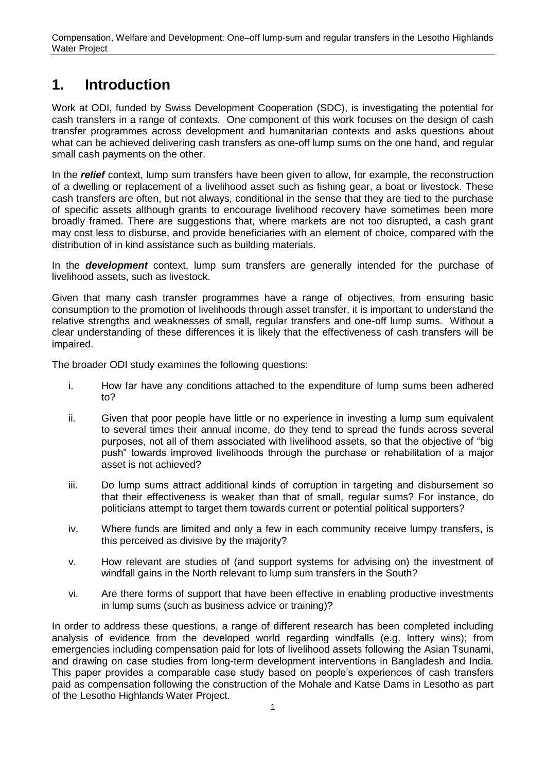## <span id="page-6-0"></span>**1. Introduction**

Work at ODI, funded by Swiss Development Cooperation (SDC), is investigating the potential for cash transfers in a range of contexts. One component of this work focuses on the design of cash transfer programmes across development and humanitarian contexts and asks questions about what can be achieved delivering cash transfers as one-off lump sums on the one hand, and regular small cash payments on the other.

In the *relief* context, lump sum transfers have been given to allow, for example, the reconstruction of a dwelling or replacement of a livelihood asset such as fishing gear, a boat or livestock. These cash transfers are often, but not always, conditional in the sense that they are tied to the purchase of specific assets although grants to encourage livelihood recovery have sometimes been more broadly framed. There are suggestions that, where markets are not too disrupted, a cash grant may cost less to disburse, and provide beneficiaries with an element of choice, compared with the distribution of in kind assistance such as building materials.

In the *development* context, lump sum transfers are generally intended for the purchase of livelihood assets, such as livestock.

Given that many cash transfer programmes have a range of objectives, from ensuring basic consumption to the promotion of livelihoods through asset transfer, it is important to understand the relative strengths and weaknesses of small, regular transfers and one-off lump sums. Without a clear understanding of these differences it is likely that the effectiveness of cash transfers will be impaired.

The broader ODI study examines the following questions:

- i. How far have any conditions attached to the expenditure of lump sums been adhered to?
- ii. Given that poor people have little or no experience in investing a lump sum equivalent to several times their annual income, do they tend to spread the funds across several purposes, not all of them associated with livelihood assets, so that the objective of "big push" towards improved livelihoods through the purchase or rehabilitation of a major asset is not achieved?
- iii. Do lump sums attract additional kinds of corruption in targeting and disbursement so that their effectiveness is weaker than that of small, regular sums? For instance, do politicians attempt to target them towards current or potential political supporters?
- iv. Where funds are limited and only a few in each community receive lumpy transfers, is this perceived as divisive by the majority?
- v. How relevant are studies of (and support systems for advising on) the investment of windfall gains in the North relevant to lump sum transfers in the South?
- vi. Are there forms of support that have been effective in enabling productive investments in lump sums (such as business advice or training)?

In order to address these questions, a range of different research has been completed including analysis of evidence from the developed world regarding windfalls (e.g. lottery wins); from emergencies including compensation paid for lots of livelihood assets following the Asian Tsunami, and drawing on case studies from long-term development interventions in Bangladesh and India. This paper provides a comparable case study based on people"s experiences of cash transfers paid as compensation following the construction of the Mohale and Katse Dams in Lesotho as part of the Lesotho Highlands Water Project.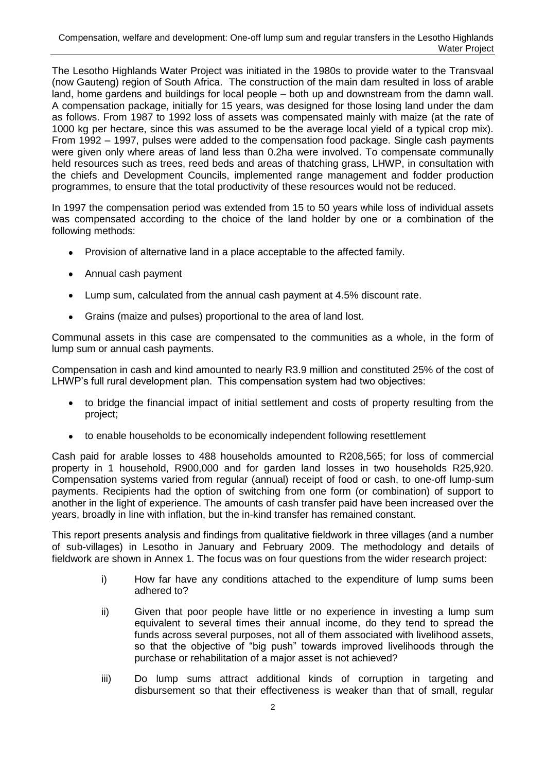The Lesotho Highlands Water Project was initiated in the 1980s to provide water to the Transvaal (now Gauteng) region of South Africa. The construction of the main dam resulted in loss of arable land, home gardens and buildings for local people – both up and downstream from the damn wall. A compensation package, initially for 15 years, was designed for those losing land under the dam as follows. From 1987 to 1992 loss of assets was compensated mainly with maize (at the rate of 1000 kg per hectare, since this was assumed to be the average local yield of a typical crop mix). From 1992 – 1997, pulses were added to the compensation food package. Single cash payments were given only where areas of land less than 0.2ha were involved. To compensate communally held resources such as trees, reed beds and areas of thatching grass, LHWP, in consultation with the chiefs and Development Councils, implemented range management and fodder production programmes, to ensure that the total productivity of these resources would not be reduced.

In 1997 the compensation period was extended from 15 to 50 years while loss of individual assets was compensated according to the choice of the land holder by one or a combination of the following methods:

- Provision of alternative land in a place acceptable to the affected family.  $\bullet$
- Annual cash payment
- $\bullet$ Lump sum, calculated from the annual cash payment at 4.5% discount rate.
- Grains (maize and pulses) proportional to the area of land lost.  $\bullet$

Communal assets in this case are compensated to the communities as a whole, in the form of lump sum or annual cash payments.

Compensation in cash and kind amounted to nearly R3.9 million and constituted 25% of the cost of LHWP's full rural development plan. This compensation system had two objectives:

- to bridge the financial impact of initial settlement and costs of property resulting from the project;
- to enable households to be economically independent following resettlement  $\bullet$  .

Cash paid for arable losses to 488 households amounted to R208,565; for loss of commercial property in 1 household, R900,000 and for garden land losses in two households R25,920. Compensation systems varied from regular (annual) receipt of food or cash, to one-off lump-sum payments. Recipients had the option of switching from one form (or combination) of support to another in the light of experience. The amounts of cash transfer paid have been increased over the years, broadly in line with inflation, but the in-kind transfer has remained constant.

This report presents analysis and findings from qualitative fieldwork in three villages (and a number of sub-villages) in Lesotho in January and February 2009. The methodology and details of fieldwork are shown in Annex 1. The focus was on four questions from the wider research project:

- i) How far have any conditions attached to the expenditure of lump sums been adhered to?
- ii) Given that poor people have little or no experience in investing a lump sum equivalent to several times their annual income, do they tend to spread the funds across several purposes, not all of them associated with livelihood assets, so that the objective of "big push" towards improved livelihoods through the purchase or rehabilitation of a major asset is not achieved?
- iii) Do lump sums attract additional kinds of corruption in targeting and disbursement so that their effectiveness is weaker than that of small, regular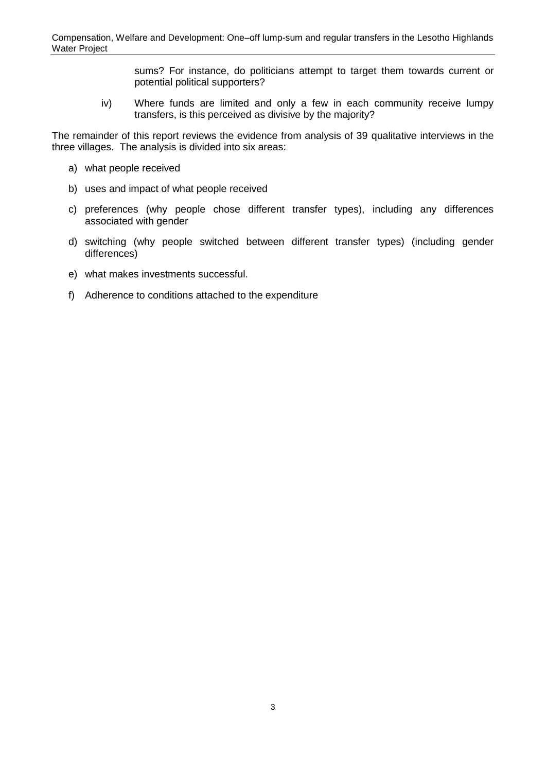sums? For instance, do politicians attempt to target them towards current or potential political supporters?

iv) Where funds are limited and only a few in each community receive lumpy transfers, is this perceived as divisive by the majority?

The remainder of this report reviews the evidence from analysis of 39 qualitative interviews in the three villages. The analysis is divided into six areas:

- a) what people received
- b) uses and impact of what people received
- c) preferences (why people chose different transfer types), including any differences associated with gender
- d) switching (why people switched between different transfer types) (including gender differences)
- e) what makes investments successful.
- f) Adherence to conditions attached to the expenditure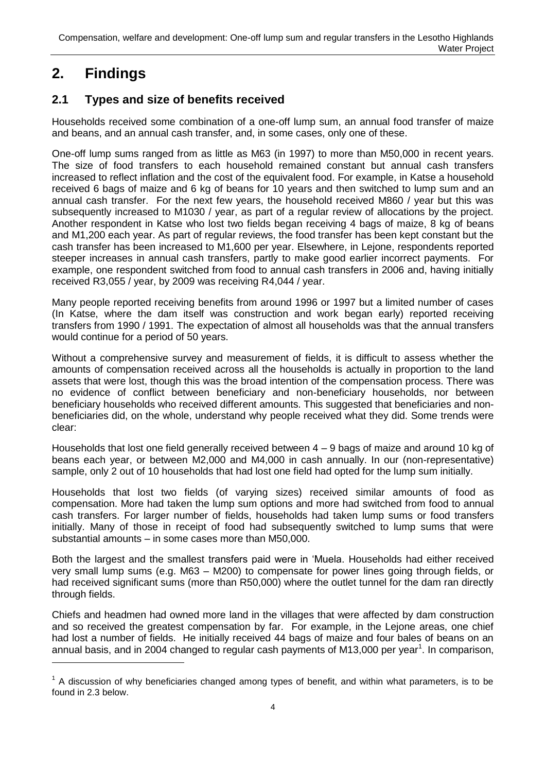## <span id="page-9-0"></span>**2. Findings**

-

### <span id="page-9-1"></span>**2.1 Types and size of benefits received**

Households received some combination of a one-off lump sum, an annual food transfer of maize and beans, and an annual cash transfer, and, in some cases, only one of these.

One-off lump sums ranged from as little as M63 (in 1997) to more than M50,000 in recent years. The size of food transfers to each household remained constant but annual cash transfers increased to reflect inflation and the cost of the equivalent food. For example, in Katse a household received 6 bags of maize and 6 kg of beans for 10 years and then switched to lump sum and an annual cash transfer. For the next few years, the household received M860 / year but this was subsequently increased to M1030 / year, as part of a regular review of allocations by the project. Another respondent in Katse who lost two fields began receiving 4 bags of maize, 8 kg of beans and M1,200 each year. As part of regular reviews, the food transfer has been kept constant but the cash transfer has been increased to M1,600 per year. Elsewhere, in Lejone, respondents reported steeper increases in annual cash transfers, partly to make good earlier incorrect payments. For example, one respondent switched from food to annual cash transfers in 2006 and, having initially received R3,055 / year, by 2009 was receiving R4,044 / year.

Many people reported receiving benefits from around 1996 or 1997 but a limited number of cases (In Katse, where the dam itself was construction and work began early) reported receiving transfers from 1990 / 1991. The expectation of almost all households was that the annual transfers would continue for a period of 50 years.

Without a comprehensive survey and measurement of fields, it is difficult to assess whether the amounts of compensation received across all the households is actually in proportion to the land assets that were lost, though this was the broad intention of the compensation process. There was no evidence of conflict between beneficiary and non-beneficiary households, nor between beneficiary households who received different amounts. This suggested that beneficiaries and nonbeneficiaries did, on the whole, understand why people received what they did. Some trends were clear:

Households that lost one field generally received between 4 – 9 bags of maize and around 10 kg of beans each year, or between M2,000 and M4,000 in cash annually. In our (non-representative) sample, only 2 out of 10 households that had lost one field had opted for the lump sum initially.

Households that lost two fields (of varying sizes) received similar amounts of food as compensation. More had taken the lump sum options and more had switched from food to annual cash transfers. For larger number of fields, households had taken lump sums or food transfers initially. Many of those in receipt of food had subsequently switched to lump sums that were substantial amounts – in some cases more than M50,000.

Both the largest and the smallest transfers paid were in "Muela. Households had either received very small lump sums (e.g. M63 – M200) to compensate for power lines going through fields, or had received significant sums (more than R50,000) where the outlet tunnel for the dam ran directly through fields.

Chiefs and headmen had owned more land in the villages that were affected by dam construction and so received the greatest compensation by far. For example, in the Lejone areas, one chief had lost a number of fields. He initially received 44 bags of maize and four bales of beans on an annual basis, and in 2004 changed to regular cash payments of M13,000 per year<sup>1</sup>. In comparison,

 $1$  A discussion of why beneficiaries changed among types of benefit, and within what parameters, is to be found in 2.3 below.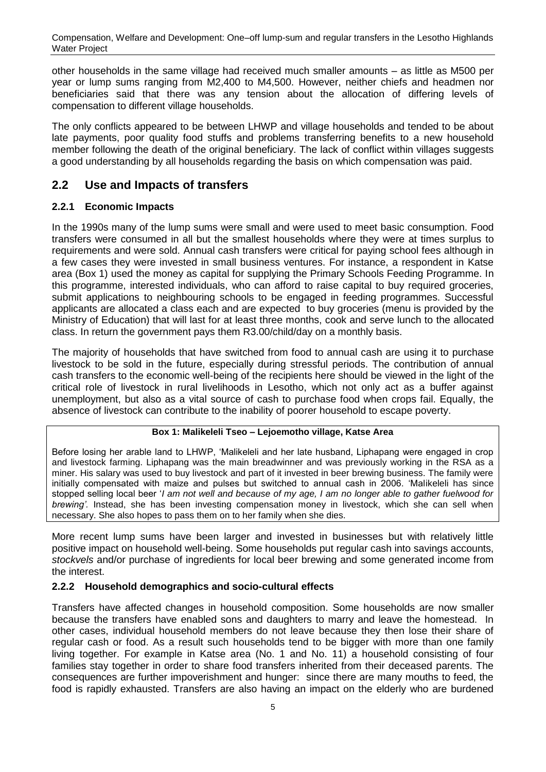other households in the same village had received much smaller amounts – as little as M500 per year or lump sums ranging from M2,400 to M4,500. However, neither chiefs and headmen nor beneficiaries said that there was any tension about the allocation of differing levels of compensation to different village households.

The only conflicts appeared to be between LHWP and village households and tended to be about late payments, poor quality food stuffs and problems transferring benefits to a new household member following the death of the original beneficiary. The lack of conflict within villages suggests a good understanding by all households regarding the basis on which compensation was paid.

### <span id="page-10-0"></span>**2.2 Use and Impacts of transfers**

### <span id="page-10-1"></span>**2.2.1 Economic Impacts**

In the 1990s many of the lump sums were small and were used to meet basic consumption. Food transfers were consumed in all but the smallest households where they were at times surplus to requirements and were sold. Annual cash transfers were critical for paying school fees although in a few cases they were invested in small business ventures. For instance, a respondent in Katse area (Box 1) used the money as capital for supplying the Primary Schools Feeding Programme. In this programme, interested individuals, who can afford to raise capital to buy required groceries, submit applications to neighbouring schools to be engaged in feeding programmes. Successful applicants are allocated a class each and are expected to buy groceries (menu is provided by the Ministry of Education) that will last for at least three months, cook and serve lunch to the allocated class. In return the government pays them R3.00/child/day on a monthly basis.

The majority of households that have switched from food to annual cash are using it to purchase livestock to be sold in the future, especially during stressful periods. The contribution of annual cash transfers to the economic well-being of the recipients here should be viewed in the light of the critical role of livestock in rural livelihoods in Lesotho, which not only act as a buffer against unemployment, but also as a vital source of cash to purchase food when crops fail. Equally, the absence of livestock can contribute to the inability of poorer household to escape poverty.

#### **Box 1: Malikeleli Tseo – Lejoemotho village, Katse Area**

<span id="page-10-3"></span>Before losing her arable land to LHWP, "Malikeleli and her late husband, Liphapang were engaged in crop and livestock farming. Liphapang was the main breadwinner and was previously working in the RSA as a miner. His salary was used to buy livestock and part of it invested in beer brewing business. The family were initially compensated with maize and pulses but switched to annual cash in 2006. "Malikeleli has since stopped selling local beer "*I am not well and because of my age, I am no longer able to gather fuelwood for brewing'.* Instead, she has been investing compensation money in livestock, which she can sell when necessary. She also hopes to pass them on to her family when she dies.

More recent lump sums have been larger and invested in businesses but with relatively little positive impact on household well-being. Some households put regular cash into savings accounts, *stockvels* and/or purchase of ingredients for local beer brewing and some generated income from the interest.

### <span id="page-10-2"></span>**2.2.2 Household demographics and socio-cultural effects**

Transfers have affected changes in household composition. Some households are now smaller because the transfers have enabled sons and daughters to marry and leave the homestead. In other cases, individual household members do not leave because they then lose their share of regular cash or food. As a result such households tend to be bigger with more than one family living together. For example in Katse area (No. 1 and No. 11) a household consisting of four families stay together in order to share food transfers inherited from their deceased parents. The consequences are further impoverishment and hunger: since there are many mouths to feed, the food is rapidly exhausted. Transfers are also having an impact on the elderly who are burdened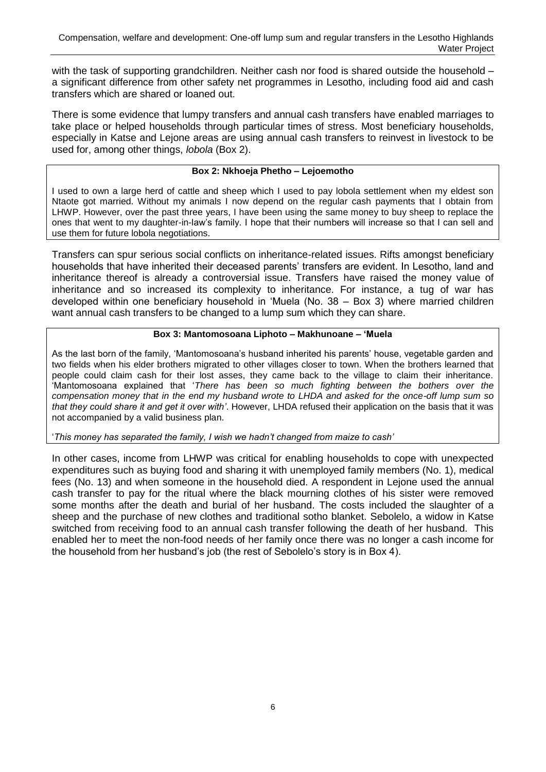with the task of supporting grandchildren. Neither cash nor food is shared outside the household a significant difference from other safety net programmes in Lesotho, including food aid and cash transfers which are shared or loaned out.

There is some evidence that lumpy transfers and annual cash transfers have enabled marriages to take place or helped households through particular times of stress. Most beneficiary households, especially in Katse and Lejone areas are using annual cash transfers to reinvest in livestock to be used for, among other things, *lobola* (Box 2).

#### **Box 2: Nkhoeja Phetho – Lejoemotho**

<span id="page-11-0"></span>I used to own a large herd of cattle and sheep which I used to pay lobola settlement when my eldest son Ntaote got married. Without my animals I now depend on the regular cash payments that I obtain from LHWP. However, over the past three years, I have been using the same money to buy sheep to replace the ones that went to my daughter-in-law"s family. I hope that their numbers will increase so that I can sell and use them for future lobola negotiations.

Transfers can spur serious social conflicts on inheritance-related issues. Rifts amongst beneficiary households that have inherited their deceased parents" transfers are evident. In Lesotho, land and inheritance thereof is already a controversial issue. Transfers have raised the money value of inheritance and so increased its complexity to inheritance. For instance, a tug of war has developed within one beneficiary household in "Muela (No. 38 – Box 3) where married children want annual cash transfers to be changed to a lump sum which they can share.

#### **Box 3: Mantomosoana Liphoto – Makhunoane – 'Muela**

<span id="page-11-1"></span>As the last born of the family, "Mantomosoana"s husband inherited his parents" house, vegetable garden and two fields when his elder brothers migrated to other villages closer to town. When the brothers learned that people could claim cash for their lost asses, they came back to the village to claim their inheritance. "Mantomosoana explained that "*There has been so much fighting between the bothers over the compensation money that in the end my husband wrote to LHDA and asked for the once-off lump sum so that they could share it and get it over with'*. However, LHDA refused their application on the basis that it was not accompanied by a valid business plan.

"*This money has separated the family, I wish we hadn't changed from maize to cash'*

In other cases, income from LHWP was critical for enabling households to cope with unexpected expenditures such as buying food and sharing it with unemployed family members (No. 1), medical fees (No. 13) and when someone in the household died. A respondent in Lejone used the annual cash transfer to pay for the ritual where the black mourning clothes of his sister were removed some months after the death and burial of her husband. The costs included the slaughter of a sheep and the purchase of new clothes and traditional sotho blanket. Sebolelo, a widow in Katse switched from receiving food to an annual cash transfer following the death of her husband. This enabled her to meet the non-food needs of her family once there was no longer a cash income for the household from her husband"s job (the rest of Sebolelo"s story is in Box 4).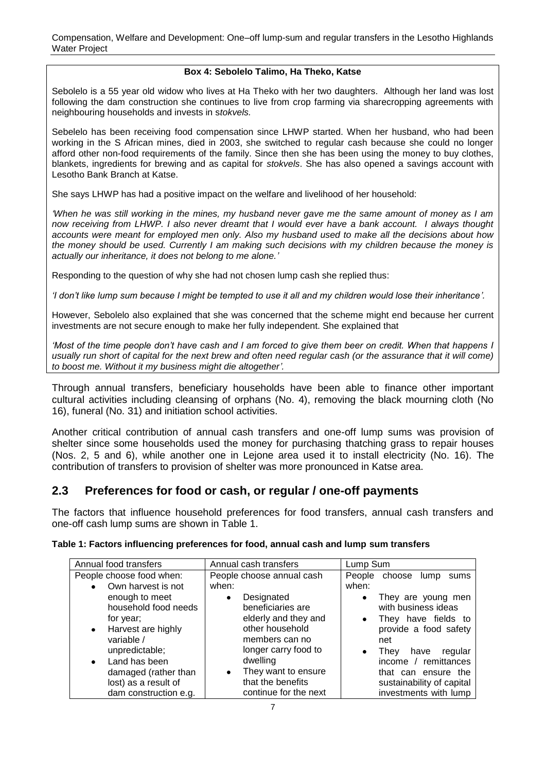#### **Box 4: Sebolelo Talimo, Ha Theko, Katse**

<span id="page-12-2"></span>Sebolelo is a 55 year old widow who lives at Ha Theko with her two daughters. Although her land was lost following the dam construction she continues to live from crop farming via sharecropping agreements with neighbouring households and invests in s*tokvels.* 

Sebelelo has been receiving food compensation since LHWP started. When her husband, who had been working in the S African mines, died in 2003, she switched to regular cash because she could no longer afford other non-food requirements of the family. Since then she has been using the money to buy clothes, blankets, ingredients for brewing and as capital for *stokvels*. She has also opened a savings account with Lesotho Bank Branch at Katse.

She says LHWP has had a positive impact on the welfare and livelihood of her household:

*'When he was still working in the mines, my husband never gave me the same amount of money as I am now receiving from LHWP. I also never dreamt that I would ever have a bank account. I always thought accounts were meant for employed men only. Also my husband used to make all the decisions about how the money should be used. Currently I am making such decisions with my children because the money is actually our inheritance, it does not belong to me alone.'*

Responding to the question of why she had not chosen lump cash she replied thus:

*'I don't like lump sum because I might be tempted to use it all and my children would lose their inheritance'.*

However, Sebolelo also explained that she was concerned that the scheme might end because her current investments are not secure enough to make her fully independent. She explained that

'Most of the time people don't have cash and I am forced to give them beer on credit. When that happens I usually run short of capital for the next brew and often need regular cash (or the assurance that it will come) *to boost me. Without it my business might die altogether'.*

Through annual transfers, beneficiary households have been able to finance other important cultural activities including cleansing of orphans (No. 4), removing the black mourning cloth (No 16), funeral (No. 31) and initiation school activities.

Another critical contribution of annual cash transfers and one-off lump sums was provision of shelter since some households used the money for purchasing thatching grass to repair houses (Nos. 2, 5 and 6), while another one in Lejone area used it to install electricity (No. 16). The contribution of transfers to provision of shelter was more pronounced in Katse area.

### <span id="page-12-0"></span>**2.3 Preferences for food or cash, or regular / one-off payments**

The factors that influence household preferences for food transfers, annual cash transfers and one-off cash lump sums are shown in Table 1.

| Annual food transfers                                                                                                                     | Annual cash transfers                                                                                                                         | Lump Sum                                                                                                                                                                           |
|-------------------------------------------------------------------------------------------------------------------------------------------|-----------------------------------------------------------------------------------------------------------------------------------------------|------------------------------------------------------------------------------------------------------------------------------------------------------------------------------------|
| People choose food when:                                                                                                                  | People choose annual cash                                                                                                                     | People choose<br>lump<br>sums                                                                                                                                                      |
| Own harvest is not<br>$\bullet$                                                                                                           | when:                                                                                                                                         | when:                                                                                                                                                                              |
| enough to meet<br>household food needs<br>for year;<br>• Harvest are highly<br>variable /<br>unpredictable;<br>Land has been<br>$\bullet$ | Designated<br>$\bullet$<br>beneficiaries are<br>elderly and they and<br>other household<br>members can no<br>longer carry food to<br>dwelling | They are young men<br>٠<br>with business ideas<br>They have fields to<br>$\bullet$<br>provide a food safety<br>net<br>regular<br>have<br>They<br>$\bullet$<br>income / remittances |
| damaged (rather than<br>lost) as a result of<br>dam construction e.g.                                                                     | They want to ensure<br>$\bullet$<br>that the benefits<br>continue for the next                                                                | that can ensure the<br>sustainability of capital<br>investments with lump                                                                                                          |

#### <span id="page-12-1"></span>**Table 1: Factors influencing preferences for food, annual cash and lump sum transfers**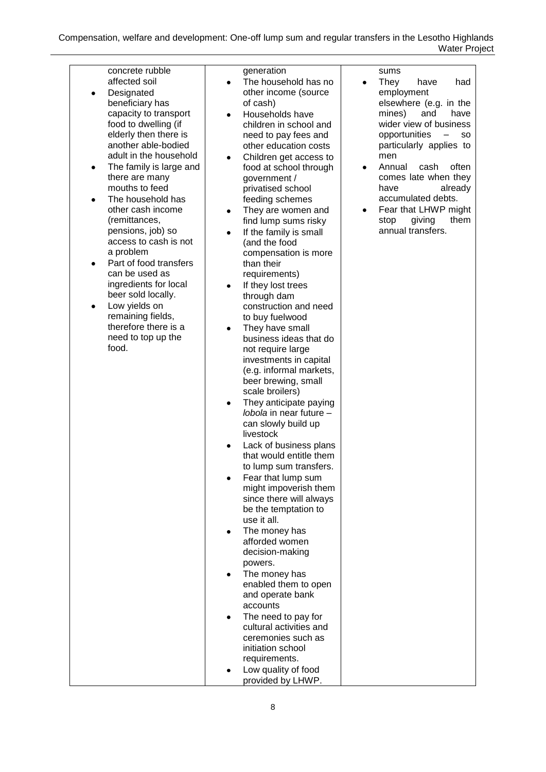| concrete rubble                                                                                                                                                                                                                                                                                                                                                                                                                                                                                                                                                                    | generation                                                                                                                                                                                                                                                                                                                                                                                                                                                                                                                                                                                                                                                                                                                                                                                                                                                                                                                                                                                                                                                                                                                                                                                                                                                                                                                             |                                                                                                                                                                                                                                                                                                                                            |
|------------------------------------------------------------------------------------------------------------------------------------------------------------------------------------------------------------------------------------------------------------------------------------------------------------------------------------------------------------------------------------------------------------------------------------------------------------------------------------------------------------------------------------------------------------------------------------|----------------------------------------------------------------------------------------------------------------------------------------------------------------------------------------------------------------------------------------------------------------------------------------------------------------------------------------------------------------------------------------------------------------------------------------------------------------------------------------------------------------------------------------------------------------------------------------------------------------------------------------------------------------------------------------------------------------------------------------------------------------------------------------------------------------------------------------------------------------------------------------------------------------------------------------------------------------------------------------------------------------------------------------------------------------------------------------------------------------------------------------------------------------------------------------------------------------------------------------------------------------------------------------------------------------------------------------|--------------------------------------------------------------------------------------------------------------------------------------------------------------------------------------------------------------------------------------------------------------------------------------------------------------------------------------------|
| affected soil<br>Designated<br>٠<br>beneficiary has<br>capacity to transport<br>food to dwelling (if<br>elderly then there is<br>another able-bodied<br>adult in the household<br>The family is large and<br>٠<br>there are many<br>mouths to feed<br>The household has<br>other cash income<br>(remittances,<br>pensions, job) so<br>access to cash is not<br>a problem<br>Part of food transfers<br>$\bullet$<br>can be used as<br>ingredients for local<br>beer sold locally.<br>Low yields on<br>٠<br>remaining fields,<br>therefore there is a<br>need to top up the<br>food. | The household has no<br>$\bullet$<br>other income (source<br>of cash)<br>Households have<br>children in school and<br>need to pay fees and<br>other education costs<br>Children get access to<br>food at school through<br>government /<br>privatised school<br>feeding schemes<br>They are women and<br>$\bullet$<br>find lump sums risky<br>If the family is small<br>$\bullet$<br>(and the food<br>compensation is more<br>than their<br>requirements)<br>If they lost trees<br>$\bullet$<br>through dam<br>construction and need<br>to buy fuelwood<br>They have small<br>business ideas that do<br>not require large<br>investments in capital<br>(e.g. informal markets,<br>beer brewing, small<br>scale broilers)<br>They anticipate paying<br>٠<br><i>lobola</i> in near future -<br>can slowly build up<br>livestock<br>Lack of business plans<br>that would entitle them<br>to lump sum transfers.<br>Fear that lump sum<br>might impoverish them<br>since there will always<br>be the temptation to<br>use it all.<br>The money has<br>afforded women<br>decision-making<br>powers.<br>The money has<br>enabled them to open<br>and operate bank<br>accounts<br>The need to pay for<br>٠<br>cultural activities and<br>ceremonies such as<br>initiation school<br>requirements.<br>Low quality of food<br>provided by LHWP. | They<br>have<br>had<br>employment<br>elsewhere (e.g. in the<br>mines)<br>and<br>have<br>wider view of business<br>opportunities<br>so<br>particularly applies to<br>men<br>Annual<br>cash<br>often<br>comes late when they<br>already<br>have<br>accumulated debts.<br>Fear that LHWP might<br>giving<br>them<br>stop<br>annual transfers. |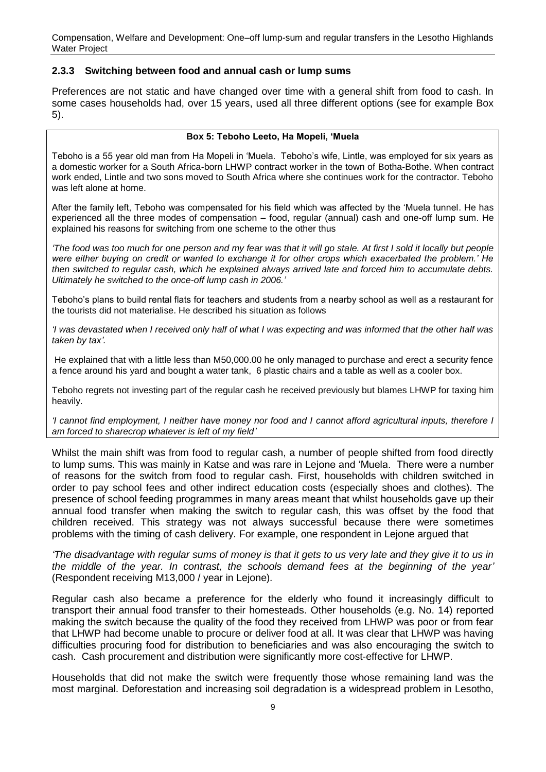#### <span id="page-14-0"></span>**2.3.3 Switching between food and annual cash or lump sums**

Preferences are not static and have changed over time with a general shift from food to cash. In some cases households had, over 15 years, used all three different options (see for example Box 5).

#### **Box 5: Teboho Leeto, Ha Mopeli, 'Muela**

<span id="page-14-1"></span>Teboho is a 55 year old man from Ha Mopeli in "Muela. Teboho"s wife, Lintle, was employed for six years as a domestic worker for a South Africa-born LHWP contract worker in the town of Botha-Bothe. When contract work ended, Lintle and two sons moved to South Africa where she continues work for the contractor. Teboho was left alone at home.

After the family left, Teboho was compensated for his field which was affected by the "Muela tunnel. He has experienced all the three modes of compensation – food, regular (annual) cash and one-off lump sum. He explained his reasons for switching from one scheme to the other thus

*'The food was too much for one person and my fear was that it will go stale. At first I sold it locally but people were either buying on credit or wanted to exchange it for other crops which exacerbated the problem.' He then switched to regular cash, which he explained always arrived late and forced him to accumulate debts. Ultimately he switched to the once-off lump cash in 2006.'*

Teboho"s plans to build rental flats for teachers and students from a nearby school as well as a restaurant for the tourists did not materialise. He described his situation as follows

*'I was devastated when I received only half of what I was expecting and was informed that the other half was taken by tax'.*

He explained that with a little less than M50,000.00 he only managed to purchase and erect a security fence a fence around his yard and bought a water tank, 6 plastic chairs and a table as well as a cooler box.

Teboho regrets not investing part of the regular cash he received previously but blames LHWP for taxing him heavily.

*'I cannot find employment, I neither have money nor food and I cannot afford agricultural inputs, therefore I am forced to sharecrop whatever is left of my field'*

Whilst the main shift was from food to regular cash, a number of people shifted from food directly to lump sums. This was mainly in Katse and was rare in Lejone and "Muela. There were a number of reasons for the switch from food to regular cash. First, households with children switched in order to pay school fees and other indirect education costs (especially shoes and clothes). The presence of school feeding programmes in many areas meant that whilst households gave up their annual food transfer when making the switch to regular cash, this was offset by the food that children received. This strategy was not always successful because there were sometimes problems with the timing of cash delivery. For example, one respondent in Lejone argued that

*'The disadvantage with regular sums of money is that it gets to us very late and they give it to us in the middle of the year. In contrast, the schools demand fees at the beginning of the year'* (Respondent receiving M13,000 / year in Lejone)*.*

Regular cash also became a preference for the elderly who found it increasingly difficult to transport their annual food transfer to their homesteads. Other households (e.g. No. 14) reported making the switch because the quality of the food they received from LHWP was poor or from fear that LHWP had become unable to procure or deliver food at all. It was clear that LHWP was having difficulties procuring food for distribution to beneficiaries and was also encouraging the switch to cash. Cash procurement and distribution were significantly more cost-effective for LHWP.

Households that did not make the switch were frequently those whose remaining land was the most marginal. Deforestation and increasing soil degradation is a widespread problem in Lesotho,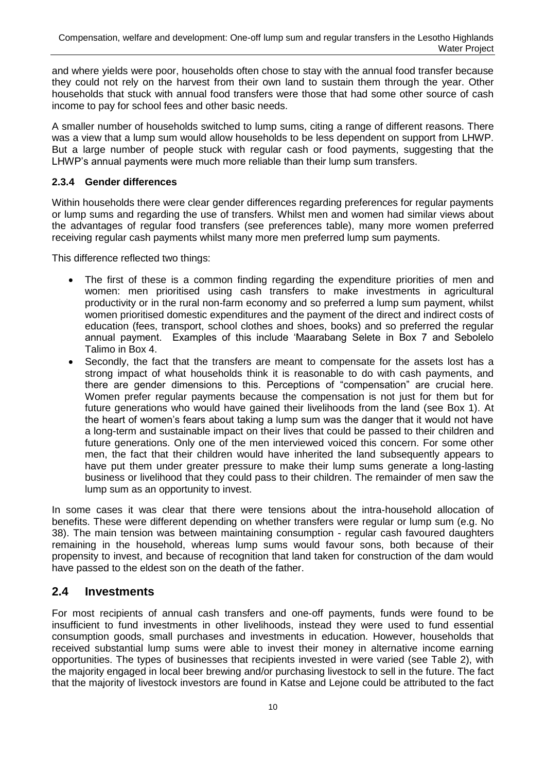and where yields were poor, households often chose to stay with the annual food transfer because they could not rely on the harvest from their own land to sustain them through the year. Other households that stuck with annual food transfers were those that had some other source of cash income to pay for school fees and other basic needs.

A smaller number of households switched to lump sums, citing a range of different reasons. There was a view that a lump sum would allow households to be less dependent on support from LHWP. But a large number of people stuck with regular cash or food payments, suggesting that the LHWP"s annual payments were much more reliable than their lump sum transfers.

### <span id="page-15-0"></span>**2.3.4 Gender differences**

Within households there were clear gender differences regarding preferences for regular payments or lump sums and regarding the use of transfers. Whilst men and women had similar views about the advantages of regular food transfers (see preferences table), many more women preferred receiving regular cash payments whilst many more men preferred lump sum payments.

This difference reflected two things:

- The first of these is a common finding regarding the expenditure priorities of men and women: men prioritised using cash transfers to make investments in agricultural productivity or in the rural non-farm economy and so preferred a lump sum payment, whilst women prioritised domestic expenditures and the payment of the direct and indirect costs of education (fees, transport, school clothes and shoes, books) and so preferred the regular annual payment. Examples of this include "Maarabang Selete in Box 7 and Sebolelo Talimo in Box 4.
- Secondly, the fact that the transfers are meant to compensate for the assets lost has a strong impact of what households think it is reasonable to do with cash payments, and there are gender dimensions to this. Perceptions of "compensation" are crucial here. Women prefer regular payments because the compensation is not just for them but for future generations who would have gained their livelihoods from the land (see Box 1). At the heart of women"s fears about taking a lump sum was the danger that it would not have a long-term and sustainable impact on their lives that could be passed to their children and future generations. Only one of the men interviewed voiced this concern. For some other men, the fact that their children would have inherited the land subsequently appears to have put them under greater pressure to make their lump sums generate a long-lasting business or livelihood that they could pass to their children. The remainder of men saw the lump sum as an opportunity to invest.

In some cases it was clear that there were tensions about the intra-household allocation of benefits. These were different depending on whether transfers were regular or lump sum (e.g. No 38). The main tension was between maintaining consumption - regular cash favoured daughters remaining in the household, whereas lump sums would favour sons, both because of their propensity to invest, and because of recognition that land taken for construction of the dam would have passed to the eldest son on the death of the father.

### <span id="page-15-1"></span>**2.4 Investments**

For most recipients of annual cash transfers and one-off payments, funds were found to be insufficient to fund investments in other livelihoods, instead they were used to fund essential consumption goods, small purchases and investments in education. However, households that received substantial lump sums were able to invest their money in alternative income earning opportunities. The types of businesses that recipients invested in were varied (see Table 2), with the majority engaged in local beer brewing and/or purchasing livestock to sell in the future. The fact that the majority of livestock investors are found in Katse and Lejone could be attributed to the fact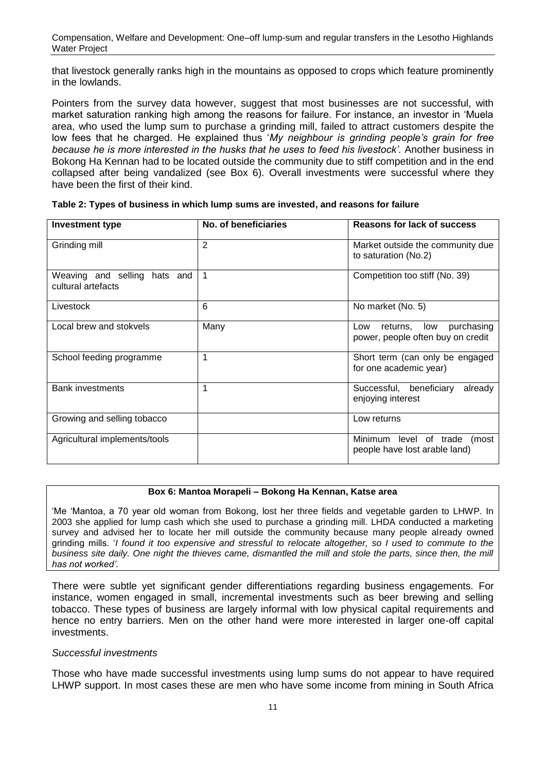that livestock generally ranks high in the mountains as opposed to crops which feature prominently in the lowlands.

Pointers from the survey data however, suggest that most businesses are not successful, with market saturation ranking high among the reasons for failure. For instance, an investor in "Muela area, who used the lump sum to purchase a grinding mill, failed to attract customers despite the low fees that he charged. He explained thus "*My neighbour is grinding people's grain for free because he is more interested in the husks that he uses to feed his livestock'.* Another business in Bokong Ha Kennan had to be located outside the community due to stiff competition and in the end collapsed after being vandalized (see Box 6). Overall investments were successful where they have been the first of their kind.

| <b>Investment type</b>                             | No. of beneficiaries | <b>Reasons for lack of success</b>                                        |
|----------------------------------------------------|----------------------|---------------------------------------------------------------------------|
| Grinding mill                                      | $\overline{2}$       | Market outside the community due<br>to saturation (No.2)                  |
| Weaving and selling hats and<br>cultural artefacts | 1                    | Competition too stiff (No. 39)                                            |
| Livestock                                          | 6                    | No market (No. 5)                                                         |
| Local brew and stokvels                            | Many                 | low<br>purchasing<br>Low<br>returns,<br>power, people often buy on credit |
| School feeding programme                           | 1                    | Short term (can only be engaged<br>for one academic year)                 |
| <b>Bank investments</b>                            |                      | Successful, beneficiary<br>already<br>enjoying interest                   |
| Growing and selling tobacco                        |                      | Low returns                                                               |
| Agricultural implements/tools                      |                      | Minimum level of trade (most<br>people have lost arable land)             |

<span id="page-16-0"></span>**Table 2: Types of business in which lump sums are invested, and reasons for failure**

#### **Box 6: Mantoa Morapeli – Bokong Ha Kennan, Katse area**

<span id="page-16-1"></span>"Me "Mantoa, a 70 year old woman from Bokong, lost her three fields and vegetable garden to LHWP. In 2003 she applied for lump cash which she used to purchase a grinding mill. LHDA conducted a marketing survey and advised her to locate her mill outside the community because many people already owned grinding mills. "*I found it too expensive and stressful to relocate altogether, so I used to commute to the business site daily. One night the thieves came, dismantled the mill and stole the parts, since then, the mill has not worked'.*

There were subtle yet significant gender differentiations regarding business engagements. For instance, women engaged in small, incremental investments such as beer brewing and selling tobacco. These types of business are largely informal with low physical capital requirements and hence no entry barriers. Men on the other hand were more interested in larger one-off capital investments.

#### *Successful investments*

Those who have made successful investments using lump sums do not appear to have required LHWP support. In most cases these are men who have some income from mining in South Africa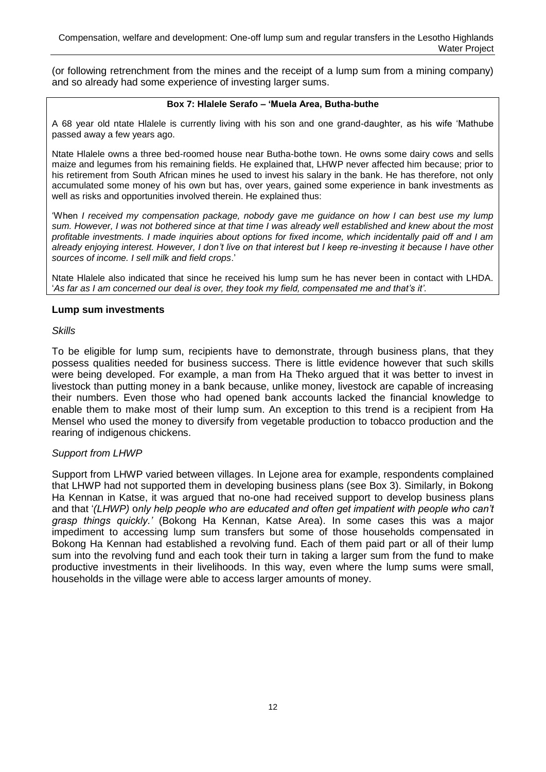(or following retrenchment from the mines and the receipt of a lump sum from a mining company) and so already had some experience of investing larger sums.

#### **Box 7: Hlalele Serafo – 'Muela Area, Butha-buthe**

<span id="page-17-0"></span>A 68 year old ntate Hlalele is currently living with his son and one grand-daughter, as his wife "Mathube passed away a few years ago.

Ntate Hlalele owns a three bed-roomed house near Butha-bothe town. He owns some dairy cows and sells maize and legumes from his remaining fields. He explained that, LHWP never affected him because; prior to his retirement from South African mines he used to invest his salary in the bank. He has therefore, not only accumulated some money of his own but has, over years, gained some experience in bank investments as well as risks and opportunities involved therein. He explained thus:

"When *I received my compensation package, nobody gave me guidance on how I can best use my lump sum. However, I was not bothered since at that time I was already well established and knew about the most profitable investments. I made inquiries about options for fixed income, which incidentally paid off and I am already enjoying interest. However, I don't live on that interest but I keep re-investing it because I have other sources of income. I sell milk and field crops*."

Ntate Hlalele also indicated that since he received his lump sum he has never been in contact with LHDA. "*As far as I am concerned our deal is over, they took my field, compensated me and that's it'.*

#### **Lump sum investments**

*Skills*

To be eligible for lump sum, recipients have to demonstrate, through business plans, that they possess qualities needed for business success. There is little evidence however that such skills were being developed. For example, a man from Ha Theko argued that it was better to invest in livestock than putting money in a bank because, unlike money, livestock are capable of increasing their numbers. Even those who had opened bank accounts lacked the financial knowledge to enable them to make most of their lump sum. An exception to this trend is a recipient from Ha Mensel who used the money to diversify from vegetable production to tobacco production and the rearing of indigenous chickens.

#### *Support from LHWP*

Support from LHWP varied between villages. In Lejone area for example, respondents complained that LHWP had not supported them in developing business plans (see Box 3). Similarly, in Bokong Ha Kennan in Katse, it was argued that no-one had received support to develop business plans and that "*(LHWP)* o*nly help people who are educated and often get impatient with people who can't grasp things quickly.'* (Bokong Ha Kennan, Katse Area). In some cases this was a major impediment to accessing lump sum transfers but some of those households compensated in Bokong Ha Kennan had established a revolving fund. Each of them paid part or all of their lump sum into the revolving fund and each took their turn in taking a larger sum from the fund to make productive investments in their livelihoods. In this way, even where the lump sums were small, households in the village were able to access larger amounts of money.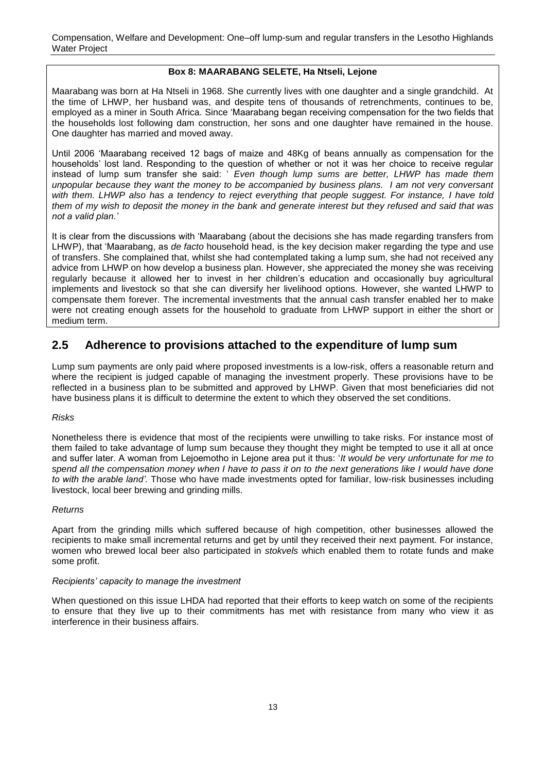#### **Box 8: MAARABANG SELETE, Ha Ntseli, Lejone**

<span id="page-18-1"></span>Maarabang was born at Ha Ntseli in 1968. She currently lives with one daughter and a single grandchild. At the time of LHWP, her husband was, and despite tens of thousands of retrenchments, continues to be, employed as a miner in South Africa. Since "Maarabang began receiving compensation for the two fields that the households lost following dam construction, her sons and one daughter have remained in the house. One daughter has married and moved away.

Until 2006 "Maarabang received 12 bags of maize and 48Kg of beans annually as compensation for the households" lost land. Responding to the question of whether or not it was her choice to receive regular instead of lump sum transfer she said: " *Even though lump sums are better, LHWP has made them unpopular because they want the money to be accompanied by business plans. I am not very conversant*  with them. LHWP also has a tendency to reject everything that people suggest. For instance, I have told *them of my wish to deposit the money in the bank and generate interest but they refused and said that was not a valid plan.'*

It is clear from the discussions with "Maarabang (about the decisions she has made regarding transfers from LHWP), that "Maarabang, as *de facto* household head, is the key decision maker regarding the type and use of transfers. She complained that, whilst she had contemplated taking a lump sum, she had not received any advice from LHWP on how develop a business plan. However, she appreciated the money she was receiving regularly because it allowed her to invest in her children"s education and occasionally buy agricultural implements and livestock so that she can diversify her livelihood options. However, she wanted LHWP to compensate them forever. The incremental investments that the annual cash transfer enabled her to make were not creating enough assets for the household to graduate from LHWP support in either the short or medium term.

### <span id="page-18-0"></span>**2.5 Adherence to provisions attached to the expenditure of lump sum**

Lump sum payments are only paid where proposed investments is a low-risk, offers a reasonable return and where the recipient is judged capable of managing the investment properly. These provisions have to be reflected in a business plan to be submitted and approved by LHWP. Given that most beneficiaries did not have business plans it is difficult to determine the extent to which they observed the set conditions.

#### *Risks*

Nonetheless there is evidence that most of the recipients were unwilling to take risks. For instance most of them failed to take advantage of lump sum because they thought they might be tempted to use it all at once and suffer later. A woman from Lejoemotho in Lejone area put it thus: "*It would be very unfortunate for me to spend all the compensation money when I have to pass it on to the next generations like I would have done to with the arable land'.* Those who have made investments opted for familiar, low-risk businesses including livestock, local beer brewing and grinding mills.

#### *Returns*

Apart from the grinding mills which suffered because of high competition, other businesses allowed the recipients to make small incremental returns and get by until they received their next payment. For instance, women who brewed local beer also participated in *stokvels* which enabled them to rotate funds and make some profit.

#### *Recipients' capacity to manage the investment*

When questioned on this issue LHDA had reported that their efforts to keep watch on some of the recipients to ensure that they live up to their commitments has met with resistance from many who view it as interference in their business affairs.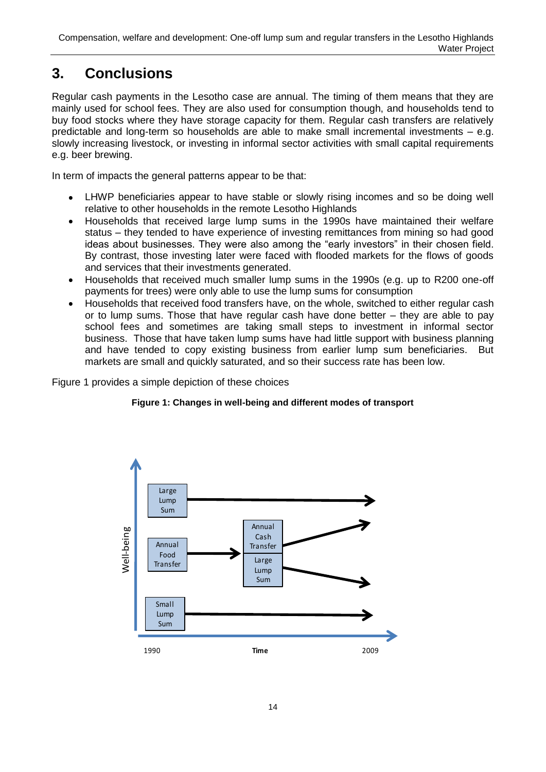## <span id="page-19-0"></span>**3. Conclusions**

Regular cash payments in the Lesotho case are annual. The timing of them means that they are mainly used for school fees. They are also used for consumption though, and households tend to buy food stocks where they have storage capacity for them. Regular cash transfers are relatively predictable and long-term so households are able to make small incremental investments – e.g. slowly increasing livestock, or investing in informal sector activities with small capital requirements e.g. beer brewing.

In term of impacts the general patterns appear to be that:

- LHWP beneficiaries appear to have stable or slowly rising incomes and so be doing well relative to other households in the remote Lesotho Highlands
- Households that received large lump sums in the 1990s have maintained their welfare  $\bullet$ status – they tended to have experience of investing remittances from mining so had good ideas about businesses. They were also among the "early investors" in their chosen field. By contrast, those investing later were faced with flooded markets for the flows of goods and services that their investments generated.
- Households that received much smaller lump sums in the 1990s (e.g. up to R200 one-off  $\bullet$ payments for trees) were only able to use the lump sums for consumption
- Households that received food transfers have, on the whole, switched to either regular cash  $\bullet$ or to lump sums. Those that have regular cash have done better – they are able to pay school fees and sometimes are taking small steps to investment in informal sector business. Those that have taken lump sums have had little support with business planning and have tended to copy existing business from earlier lump sum beneficiaries. But markets are small and quickly saturated, and so their success rate has been low.

<span id="page-19-1"></span>Figure 1 provides a simple depiction of these choices

### **Figure 1: Changes in well-being and different modes of transport**

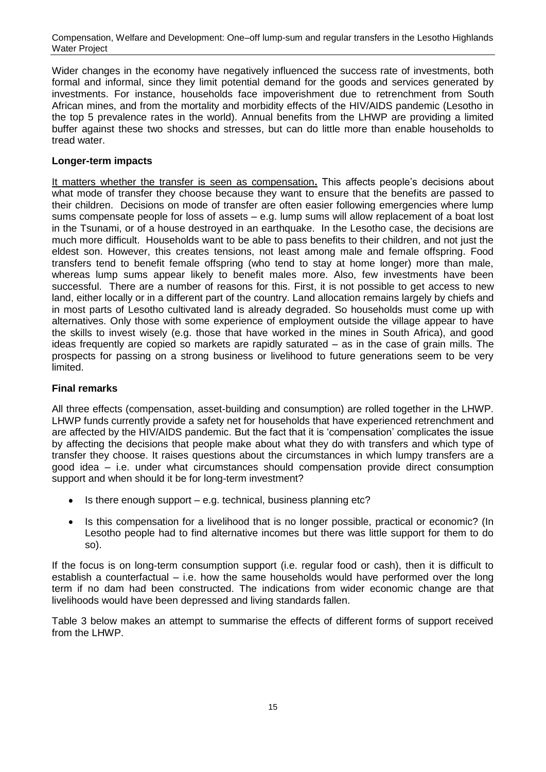Wider changes in the economy have negatively influenced the success rate of investments, both formal and informal, since they limit potential demand for the goods and services generated by investments. For instance, households face impoverishment due to retrenchment from South African mines, and from the mortality and morbidity effects of the HIV/AIDS pandemic (Lesotho in the top 5 prevalence rates in the world). Annual benefits from the LHWP are providing a limited buffer against these two shocks and stresses, but can do little more than enable households to tread water.

#### **Longer-term impacts**

It matters whether the transfer is seen as compensation**.** This affects people"s decisions about what mode of transfer they choose because they want to ensure that the benefits are passed to their children. Decisions on mode of transfer are often easier following emergencies where lump sums compensate people for loss of assets – e.g. lump sums will allow replacement of a boat lost in the Tsunami, or of a house destroyed in an earthquake. In the Lesotho case, the decisions are much more difficult. Households want to be able to pass benefits to their children, and not just the eldest son. However, this creates tensions, not least among male and female offspring. Food transfers tend to benefit female offspring (who tend to stay at home longer) more than male, whereas lump sums appear likely to benefit males more. Also, few investments have been successful. There are a number of reasons for this. First, it is not possible to get access to new land, either locally or in a different part of the country. Land allocation remains largely by chiefs and in most parts of Lesotho cultivated land is already degraded. So households must come up with alternatives. Only those with some experience of employment outside the village appear to have the skills to invest wisely (e.g. those that have worked in the mines in South Africa), and good ideas frequently are copied so markets are rapidly saturated – as in the case of grain mills. The prospects for passing on a strong business or livelihood to future generations seem to be very limited.

#### **Final remarks**

All three effects (compensation, asset-building and consumption) are rolled together in the LHWP. LHWP funds currently provide a safety net for households that have experienced retrenchment and are affected by the HIV/AIDS pandemic. But the fact that it is "compensation" complicates the issue by affecting the decisions that people make about what they do with transfers and which type of transfer they choose. It raises questions about the circumstances in which lumpy transfers are a good idea – i.e. under what circumstances should compensation provide direct consumption support and when should it be for long-term investment?

- Is there enough support e.g. technical, business planning etc?  $\bullet$
- Is this compensation for a livelihood that is no longer possible, practical or economic? (In Lesotho people had to find alternative incomes but there was little support for them to do so).

If the focus is on long-term consumption support (i.e. regular food or cash), then it is difficult to establish a counterfactual – i.e. how the same households would have performed over the long term if no dam had been constructed. The indications from wider economic change are that livelihoods would have been depressed and living standards fallen.

Table 3 below makes an attempt to summarise the effects of different forms of support received from the LHWP.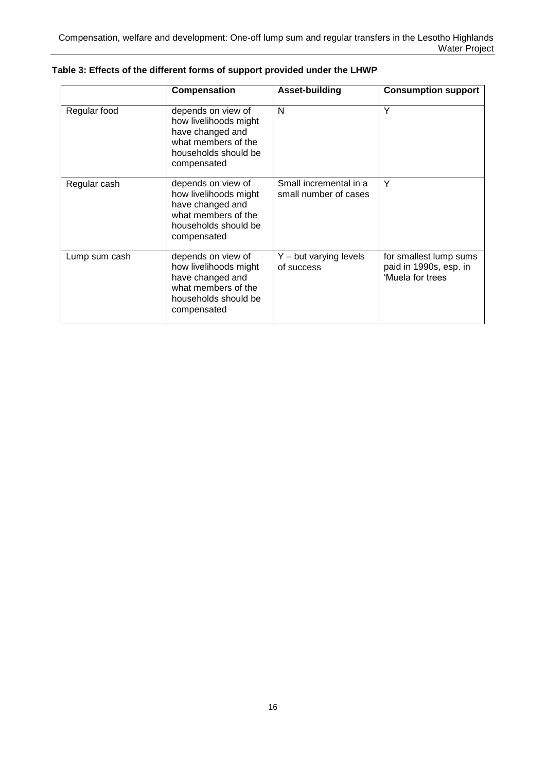|               | Compensation                                                                                                                  | Asset-building                                  | <b>Consumption support</b>                                           |
|---------------|-------------------------------------------------------------------------------------------------------------------------------|-------------------------------------------------|----------------------------------------------------------------------|
| Regular food  | depends on view of<br>how livelihoods might<br>have changed and<br>what members of the<br>households should be<br>compensated | N                                               | Υ                                                                    |
| Regular cash  | depends on view of<br>how livelihoods might<br>have changed and<br>what members of the<br>households should be<br>compensated | Small incremental in a<br>small number of cases | Y                                                                    |
| Lump sum cash | depends on view of<br>how livelihoods might<br>have changed and<br>what members of the<br>households should be<br>compensated | $Y - but varying levels$<br>of success          | for smallest lump sums<br>paid in 1990s, esp. in<br>'Muela for trees |

<span id="page-21-0"></span>**Table 3: Effects of the different forms of support provided under the LHWP**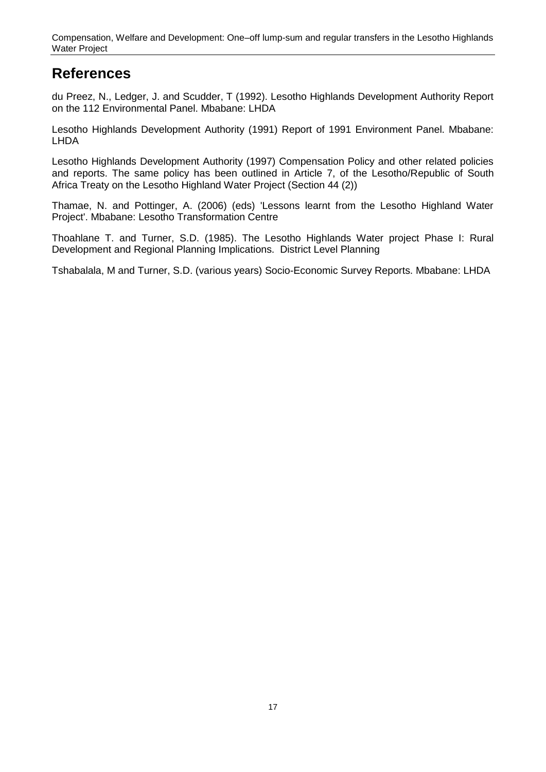### <span id="page-22-0"></span>**References**

du Preez, N., Ledger, J. and Scudder, T (1992). Lesotho Highlands Development Authority Report on the 112 Environmental Panel. Mbabane: LHDA

Lesotho Highlands Development Authority (1991) Report of 1991 Environment Panel. Mbabane: LHDA

Lesotho Highlands Development Authority (1997) Compensation Policy and other related policies and reports. The same policy has been outlined in Article 7, of the Lesotho/Republic of South Africa Treaty on the Lesotho Highland Water Project (Section 44 (2))

Thamae, N. and Pottinger, A. (2006) (eds) 'Lessons learnt from the Lesotho Highland Water Project'. Mbabane: Lesotho Transformation Centre

Thoahlane T. and Turner, S.D. (1985). The Lesotho Highlands Water project Phase I: Rural Development and Regional Planning Implications. District Level Planning

Tshabalala, M and Turner, S.D. (various years) Socio-Economic Survey Reports. Mbabane: LHDA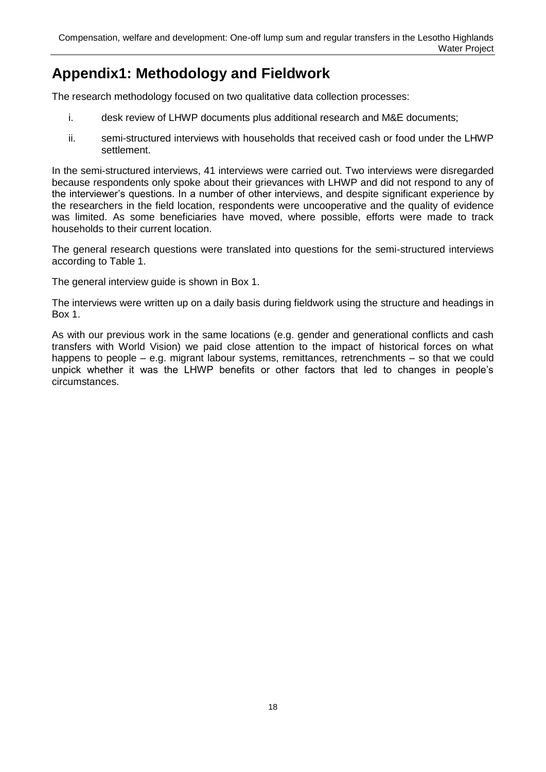## <span id="page-23-0"></span>**Appendix1: Methodology and Fieldwork**

The research methodology focused on two qualitative data collection processes:

- i. desk review of LHWP documents plus additional research and M&E documents;
- ii. semi-structured interviews with households that received cash or food under the LHWP settlement.

In the semi-structured interviews, 41 interviews were carried out. Two interviews were disregarded because respondents only spoke about their grievances with LHWP and did not respond to any of the interviewer"s questions. In a number of other interviews, and despite significant experience by the researchers in the field location, respondents were uncooperative and the quality of evidence was limited. As some beneficiaries have moved, where possible, efforts were made to track households to their current location.

The general research questions were translated into questions for the semi-structured interviews according to Table 1.

The general interview guide is shown in Box 1.

The interviews were written up on a daily basis during fieldwork using the structure and headings in Box 1.

As with our previous work in the same locations (e.g. gender and generational conflicts and cash transfers with World Vision) we paid close attention to the impact of historical forces on what happens to people – e.g. migrant labour systems, remittances, retrenchments – so that we could unpick whether it was the LHWP benefits or other factors that led to changes in people"s circumstances.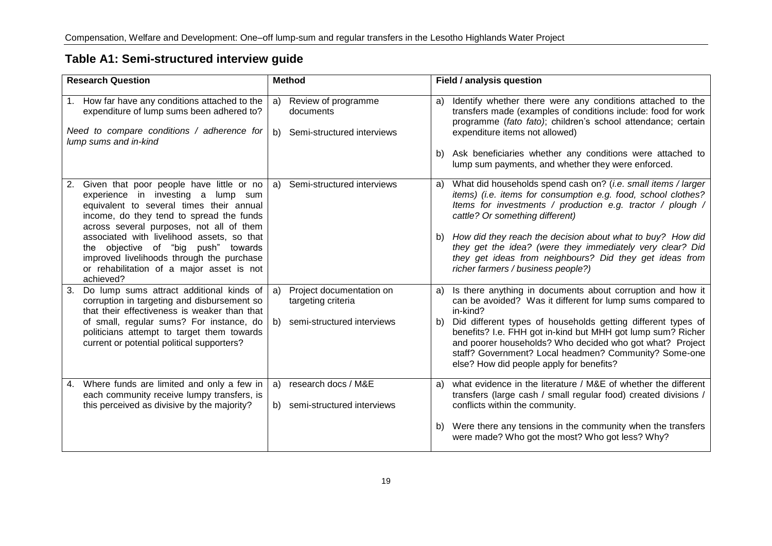| <b>Research Question</b>                                                                                                                                                                                                                                                                                                                                                                                             | <b>Method</b>                                                                         | Field / analysis question                                                                                                                                                                                                                                                                                                                                                                                                                                            |
|----------------------------------------------------------------------------------------------------------------------------------------------------------------------------------------------------------------------------------------------------------------------------------------------------------------------------------------------------------------------------------------------------------------------|---------------------------------------------------------------------------------------|----------------------------------------------------------------------------------------------------------------------------------------------------------------------------------------------------------------------------------------------------------------------------------------------------------------------------------------------------------------------------------------------------------------------------------------------------------------------|
| 1. How far have any conditions attached to the<br>expenditure of lump sums been adhered to?<br>Need to compare conditions / adherence for<br>lump sums and in-kind                                                                                                                                                                                                                                                   | a) Review of programme<br>documents<br>b) Semi-structured interviews                  | Identify whether there were any conditions attached to the<br>a)<br>transfers made (examples of conditions include: food for work<br>programme (fato fato); children's school attendance; certain<br>expenditure items not allowed)<br>Ask beneficiaries whether any conditions were attached to<br>b)<br>lump sum payments, and whether they were enforced.                                                                                                         |
| Given that poor people have little or no<br>2.<br>experience in investing a lump sum<br>equivalent to several times their annual<br>income, do they tend to spread the funds<br>across several purposes, not all of them<br>associated with livelihood assets, so that<br>the objective of "big push" towards<br>improved livelihoods through the purchase<br>or rehabilitation of a major asset is not<br>achieved? | Semi-structured interviews<br>a)                                                      | What did households spend cash on? (i.e. small items / larger<br>a)<br>items) (i.e. items for consumption e.g. food, school clothes?<br>Items for investments / production e.g. tractor / plough /<br>cattle? Or something different)<br>b) How did they reach the decision about what to buy? How did<br>they get the idea? (were they immediately very clear? Did<br>they get ideas from neighbours? Did they get ideas from<br>richer farmers / business people?) |
| Do lump sums attract additional kinds of<br>3.<br>corruption in targeting and disbursement so<br>that their effectiveness is weaker than that<br>of small, regular sums? For instance, do<br>politicians attempt to target them towards<br>current or potential political supporters?                                                                                                                                | Project documentation on<br>a)<br>targeting criteria<br>b) semi-structured interviews | Is there anything in documents about corruption and how it<br>a)<br>can be avoided? Was it different for lump sums compared to<br>in-kind?<br>Did different types of households getting different types of<br>b)<br>benefits? I.e. FHH got in-kind but MHH got lump sum? Richer<br>and poorer households? Who decided who got what? Project<br>staff? Government? Local headmen? Community? Some-one<br>else? How did people apply for benefits?                     |
| 4. Where funds are limited and only a few in<br>each community receive lumpy transfers, is<br>this perceived as divisive by the majority?                                                                                                                                                                                                                                                                            | research docs / M&E<br>a)<br>b) semi-structured interviews                            | what evidence in the literature $\overline{/}$ M&E of whether the different<br>a)<br>transfers (large cash / small regular food) created divisions /<br>conflicts within the community.<br>Were there any tensions in the community when the transfers<br>b)<br>were made? Who got the most? Who got less? Why?                                                                                                                                                      |

### **Table A1: Semi-structured interview guide**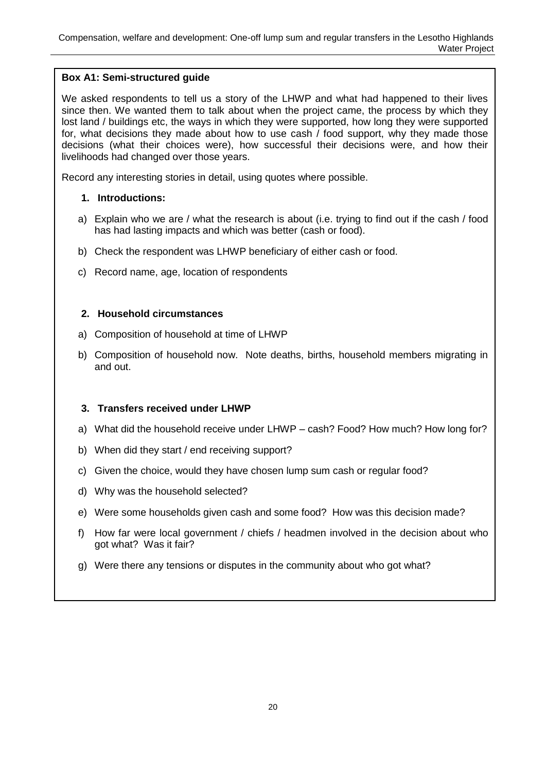#### **Box A1: Semi-structured guide**

We asked respondents to tell us a story of the LHWP and what had happened to their lives since then. We wanted them to talk about when the project came, the process by which they lost land / buildings etc, the ways in which they were supported, how long they were supported for, what decisions they made about how to use cash / food support, why they made those decisions (what their choices were), how successful their decisions were, and how their livelihoods had changed over those years.

Record any interesting stories in detail, using quotes where possible.

#### **1. Introductions:**

- a) Explain who we are / what the research is about (i.e. trying to find out if the cash / food has had lasting impacts and which was better (cash or food).
- b) Check the respondent was LHWP beneficiary of either cash or food.
- c) Record name, age, location of respondents

#### **2. Household circumstances**

- a) Composition of household at time of LHWP
- b) Composition of household now. Note deaths, births, household members migrating in and out.

#### **3. Transfers received under LHWP**

- a) What did the household receive under LHWP cash? Food? How much? How long for?
- b) When did they start / end receiving support?
- c) Given the choice, would they have chosen lump sum cash or regular food?
- d) Why was the household selected?
- e) Were some households given cash and some food? How was this decision made?
- f) How far were local government / chiefs / headmen involved in the decision about who got what? Was it fair?
- g) Were there any tensions or disputes in the community about who got what?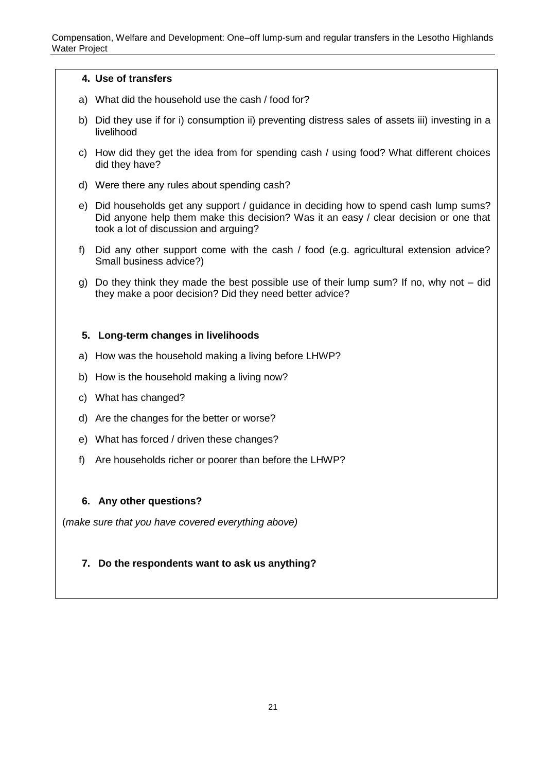#### **4. Use of transfers**

- a) What did the household use the cash / food for?
- b) Did they use if for i) consumption ii) preventing distress sales of assets iii) investing in a livelihood
- c) How did they get the idea from for spending cash / using food? What different choices did they have?
- d) Were there any rules about spending cash?
- e) Did households get any support / guidance in deciding how to spend cash lump sums? Did anyone help them make this decision? Was it an easy / clear decision or one that took a lot of discussion and arguing?
- f) Did any other support come with the cash / food (e.g. agricultural extension advice? Small business advice?)
- g) Do they think they made the best possible use of their lump sum? If no, why not did they make a poor decision? Did they need better advice?

#### **5. Long-term changes in livelihoods**

- a) How was the household making a living before LHWP?
- b) How is the household making a living now?
- c) What has changed?
- d) Are the changes for the better or worse?
- e) What has forced / driven these changes?
- f) Are households richer or poorer than before the LHWP?

#### **6. Any other questions?**

(*make sure that you have covered everything above)*

#### **7. Do the respondents want to ask us anything?**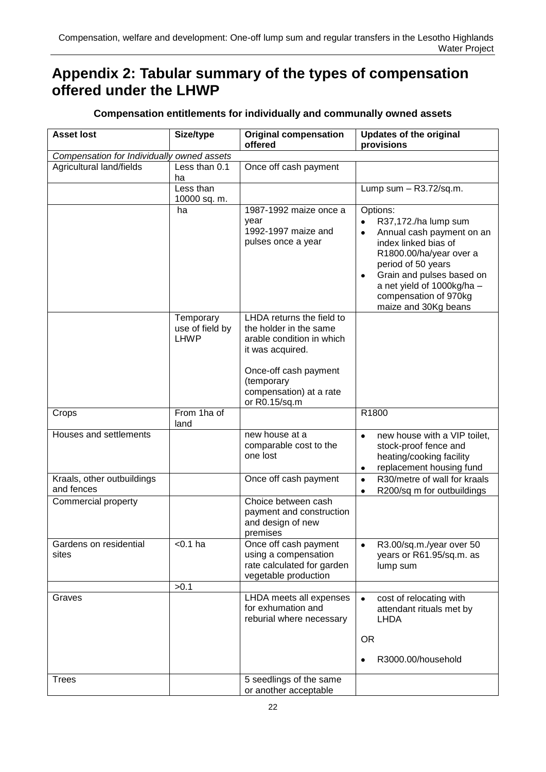## <span id="page-27-0"></span>**Appendix 2: Tabular summary of the types of compensation offered under the LHWP**

| <b>Asset lost</b>                          | Size/type                 | <b>Original compensation</b><br>offered                                     | <b>Updates of the original</b><br>provisions                                                                                                                                     |
|--------------------------------------------|---------------------------|-----------------------------------------------------------------------------|----------------------------------------------------------------------------------------------------------------------------------------------------------------------------------|
| Compensation for Individually owned assets |                           |                                                                             |                                                                                                                                                                                  |
| Agricultural land/fields                   | Less than 0.1<br>ha       | Once off cash payment                                                       |                                                                                                                                                                                  |
|                                            | Less than<br>10000 sq. m. |                                                                             | Lump sum $-$ R3.72/sq.m.                                                                                                                                                         |
|                                            | ha                        | 1987-1992 maize once a<br>year<br>1992-1997 maize and<br>pulses once a year | Options:<br>R37,172./ha lump sum<br>Annual cash payment on an<br>$\bullet$<br>index linked bias of<br>R1800.00/ha/year over a<br>period of 50 years<br>Grain and pulses based on |

LHDA returns the field to the holder in the same

**Temporary** use of field by a net yield of 1000kg/ha – compensation of 970kg maize and 30Kg beans

#### **Compensation entitlements for individually and communally owned assets**

|                                          | <b>LHWP</b>         | arable condition in which<br>it was acquired.<br>Once-off cash payment<br>(temporary<br>compensation) at a rate<br>or R0.15/sq.m |                                                                                                                                         |
|------------------------------------------|---------------------|----------------------------------------------------------------------------------------------------------------------------------|-----------------------------------------------------------------------------------------------------------------------------------------|
| Crops                                    | From 1ha of<br>land |                                                                                                                                  | R1800                                                                                                                                   |
| Houses and settlements                   |                     | new house at a<br>comparable cost to the<br>one lost                                                                             | new house with a VIP toilet,<br>$\bullet$<br>stock-proof fence and<br>heating/cooking facility<br>replacement housing fund<br>$\bullet$ |
| Kraals, other outbuildings<br>and fences |                     | Once off cash payment                                                                                                            | R30/metre of wall for kraals<br>$\bullet$<br>R200/sq m for outbuildings<br>$\bullet$                                                    |
| Commercial property                      |                     | Choice between cash<br>payment and construction<br>and design of new<br>premises                                                 |                                                                                                                                         |
| Gardens on residential<br>sites          | $0.1$ ha            | Once off cash payment<br>using a compensation<br>rate calculated for garden<br>vegetable production                              | R3.00/sq.m./year over 50<br>$\bullet$<br>years or R61.95/sq.m. as<br>lump sum                                                           |
|                                          | >0.1                |                                                                                                                                  |                                                                                                                                         |
| Graves                                   |                     | LHDA meets all expenses<br>for exhumation and<br>reburial where necessary                                                        | cost of relocating with<br>$\bullet$<br>attendant rituals met by<br><b>LHDA</b>                                                         |
|                                          |                     |                                                                                                                                  | <b>OR</b>                                                                                                                               |
|                                          |                     |                                                                                                                                  | R3000.00/household                                                                                                                      |
| Trees                                    |                     | 5 seedlings of the same<br>or another acceptable                                                                                 |                                                                                                                                         |